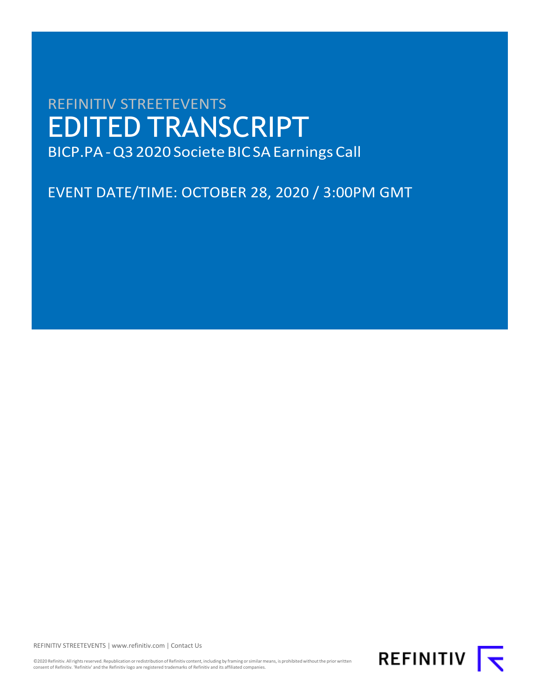# REFINITIV STREETEVENTS EDITED TRANSCRIPT BICP.PA-Q3 2020 Societe BICSAEarnings Call

EVENT DATE/TIME: OCTOBER 28, 2020 / 3:00PM GMT

REFINITIV STREETEVENTS [| www.refinitiv.com |](https://www.refinitiv.com/) [Contact Us](https://www.refinitiv.com/en/contact-us)

©2020 Refinitiv. All rights reserved. Republication or redistribution of Refinitiv content, including by framing or similar means, is prohibited without the prior written consent of Refinitiv. 'Refinitiv' and the Refinitiv logo are registered trademarks of Refinitiv and its affiliated companies.

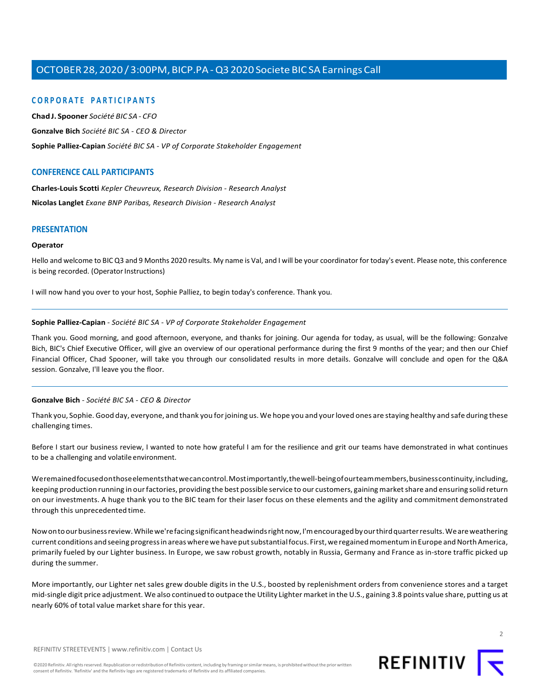## **CORPORATE PARTICIPANTS**

**ChadJ. [Spooner](#page-5-0)** *Société BIC SA - CFO*

**[Gonzalve Bich](#page-1-0)** *Société BIC SA - CEO & Director*

**[Sophie Palliez-Capian](#page-1-1)** *Société BIC SA - VP of Corporate Stakeholder Engagement*

## **CONFERENCE CALL PARTICIPANTS**

**[Charles-Louis](#page-9-0) Scotti** *Kepler Cheuvreux, Research Division - Research Analyst*

**[Nicolas Langlet](#page-7-0)** *Exane BNP Paribas, Research Division - Research Analyst*

## **PRESENTATION**

#### **Operator**

Hello and welcome to BIC Q3 and 9 Months 2020 results. My name is Val, and I will be your coordinator for today's event. Please note, this conference is being recorded. (Operator Instructions)

<span id="page-1-1"></span>I will now hand you over to your host, Sophie Palliez, to begin today's conference. Thank you.

### **Sophie Palliez-Capian** *- Société BIC SA - VP of Corporate Stakeholder Engagement*

Thank you. Good morning, and good afternoon, everyone, and thanks for joining. Our agenda for today, as usual, will be the following: Gonzalve Bich, BIC's Chief Executive Officer, will give an overview of our operational performance during the first 9 months of the year; and then our Chief Financial Officer, Chad Spooner, will take you through our consolidated results in more details. Gonzalve will conclude and open for the Q&A session. Gonzalve, I'll leave you the floor.

## **Gonzalve Bich** *- Société BIC SA - CEO & Director*

Thank you, Sophie. Good day, everyone, and thank you forjoining us. We hope you and yourloved ones are staying healthy and safe during these challenging times.

Before I start our business review, I wanted to note how grateful I am for the resilience and grit our teams have demonstrated in what continues to be a challenging and volatile environment.

Weremainedfocusedonthoseelementsthatwecancontrol.Mostimportantly,thewell-beingofourteammembers,businesscontinuity,including, keeping production running in ourfactories, providing the best possible service to our customers, gaining marketshare and ensuring solid return on our investments. A huge thank you to the BIC team for their laser focus on these elements and the agility and commitment demonstrated through this unprecedented time.

Nowontoourbusinessreview.Whilewe'refacingsignificantheadwindsrightnow,I'mencouragedbyourthirdquarterresults.Weareweathering current conditions and seeing progress in areas where we have put substantial focus. First, we regained momentum in Europe and North America, primarily fueled by our Lighter business. In Europe, we saw robust growth, notably in Russia, Germany and France as in-store traffic picked up during the summer.

More importantly, our Lighter net sales grew double digits in the U.S., boosted by replenishment orders from convenience stores and a target mid-single digit price adjustment. We also continued to outpace the Utility Lighter marketin the U.S., gaining 3.8 points value share, putting us at nearly 60% of total value market share for this year.

<span id="page-1-0"></span>

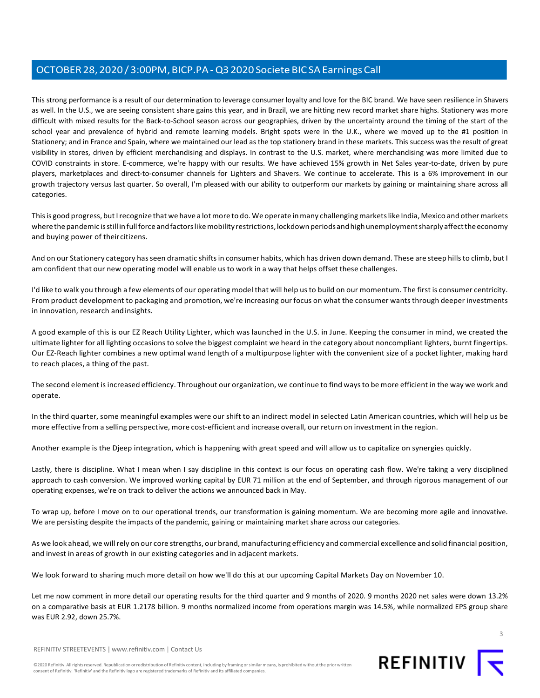This strong performance is a result of our determination to leverage consumer loyalty and love for the BIC brand. We have seen resilience in Shavers as well. In the U.S., we are seeing consistent share gains this year, and in Brazil, we are hitting new record market share highs. Stationery was more difficult with mixed results for the Back-to-School season across our geographies, driven by the uncertainty around the timing of the start of the school year and prevalence of hybrid and remote learning models. Bright spots were in the U.K., where we moved up to the #1 position in Stationery; and in France and Spain, where we maintained our lead as the top stationery brand in these markets. This success was the result of great visibility in stores, driven by efficient merchandising and displays. In contrast to the U.S. market, where merchandising was more limited due to COVID constraints in store. E-commerce, we're happy with our results. We have achieved 15% growth in Net Sales year-to-date, driven by pure players, marketplaces and direct-to-consumer channels for Lighters and Shavers. We continue to accelerate. This is a 6% improvement in our growth trajectory versus last quarter. So overall, I'm pleased with our ability to outperform our markets by gaining or maintaining share across all categories.

This is good progress, but I recognize that we have a lot more to do. We operate in many challenging markets like India, Mexico and other markets where the pandemic is still in full force and factors like mobility restrictions, lockdown periods and high unemployment sharply affect the economy and buying power of theircitizens.

And on our Stationery category has seen dramatic shifts in consumer habits, which has driven down demand. These are steep hills to climb, but I am confident that our new operating model will enable us to work in a way that helps offset these challenges.

I'd like to walk you through a few elements of our operating model that will help usto build on our momentum. The first is consumer centricity. From product development to packaging and promotion, we're increasing our focus on what the consumer wants through deeper investments in innovation, research andinsights.

A good example of this is our EZ Reach Utility Lighter, which was launched in the U.S. in June. Keeping the consumer in mind, we created the ultimate lighter for all lighting occasionsto solve the biggest complaint we heard in the category about noncompliant lighters, burnt fingertips. Our EZ-Reach lighter combines a new optimal wand length of a multipurpose lighter with the convenient size of a pocket lighter, making hard to reach places, a thing of the past.

The second element isincreased efficiency. Throughout our organization, we continue to find waysto be more efficient in the way we work and operate.

In the third quarter, some meaningful examples were our shift to an indirect model in selected Latin American countries, which will help us be more effective from a selling perspective, more cost-efficient and increase overall, our return on investment in the region.

Another example is the Djeep integration, which is happening with great speed and will allow us to capitalize on synergies quickly.

Lastly, there is discipline. What I mean when I say discipline in this context is our focus on operating cash flow. We're taking a very disciplined approach to cash conversion. We improved working capital by EUR 71 million at the end of September, and through rigorous management of our operating expenses, we're on track to deliver the actions we announced back in May.

To wrap up, before I move on to our operational trends, our transformation is gaining momentum. We are becoming more agile and innovative. We are persisting despite the impacts of the pandemic, gaining or maintaining market share across our categories.

As we look ahead, we willrely on our core strengths, our brand, manufacturing efficiency and commercial excellence and solid financial position, and invest in areas of growth in our existing categories and in adjacent markets.

We look forward to sharing much more detail on how we'll do this at our upcoming Capital Markets Day on November 10.

Let me now comment in more detail our operating results for the third quarter and 9 months of 2020. 9 months 2020 net sales were down 13.2% on a comparative basis at EUR 1.2178 billion. 9 months normalized income from operations margin was 14.5%, while normalized EPS group share was EUR 2.92, down 25.7%.

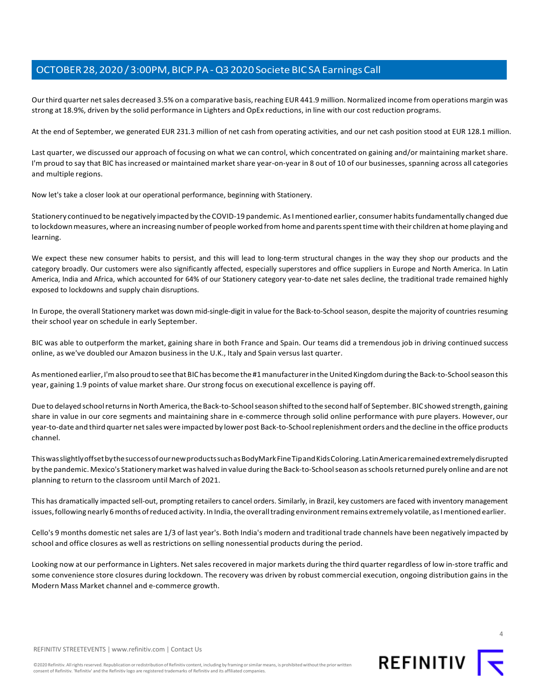Our third quarter net sales decreased 3.5% on a comparative basis, reaching EUR 441.9 million. Normalized income from operations margin was strong at 18.9%, driven by the solid performance in Lighters and OpEx reductions, in line with our cost reduction programs.

At the end of September, we generated EUR 231.3 million of net cash from operating activities, and our net cash position stood at EUR 128.1 million.

Last quarter, we discussed our approach of focusing on what we can control, which concentrated on gaining and/or maintaining market share. I'm proud to say that BIC has increased or maintained market share year-on-year in 8 out of 10 of our businesses, spanning across all categories and multiple regions.

Now let's take a closer look at our operational performance, beginning with Stationery.

Stationery continued to be negatively impacted by the COVID-19 pandemic. As I mentioned earlier, consumer habits fundamentally changed due to lockdownmeasures,where an increasing number of people worked fromhome and parentsspenttimewith their children at home playing and learning.

We expect these new consumer habits to persist, and this will lead to long-term structural changes in the way they shop our products and the category broadly. Our customers were also significantly affected, especially superstores and office suppliers in Europe and North America. In Latin America, India and Africa, which accounted for 64% of our Stationery category year-to-date net sales decline, the traditional trade remained highly exposed to lockdowns and supply chain disruptions.

In Europe, the overall Stationery market was down mid-single-digit in value for the Back-to-School season, despite the majority of countries resuming their school year on schedule in early September.

BIC was able to outperform the market, gaining share in both France and Spain. Our teams did a tremendous job in driving continued success online, as we've doubled our Amazon business in the U.K., Italy and Spain versus last quarter.

As mentioned earlier, I'm also proud to see that BIC has become the #1 manufacturer in the United Kingdom during the Back-to-School season this year, gaining 1.9 points of value market share. Our strong focus on executional excellence is paying off.

Due to delayed school returns in North America, the Back-to-School season shifted to the second half of September. BIC showed strength, gaining share in value in our core segments and maintaining share in e-commerce through solid online performance with pure players. However, our year-to-date and third quarter netsales were impacted by lower post Back-to-Schoolreplenishment orders and the decline in the office products channel.

ThiswasslightlyoffsetbythesuccessofournewproductssuchasBodyMarkFineTipandKidsColoring.LatinAmericaremainedextremelydisrupted by the pandemic. Mexico's Stationery market was halved in value during the Back-to-School season as schools returned purely online and are not planning to return to the classroom until March of 2021.

This has dramatically impacted sell-out, prompting retailers to cancel orders. Similarly, in Brazil, key customers are faced with inventory management issues, following nearly 6 months of reduced activity. In India, the overall trading environment remains extremely volatile, as I mentioned earlier.

Cello's 9 months domestic net sales are 1/3 of last year's. Both India's modern and traditional trade channels have been negatively impacted by school and office closures as well as restrictions on selling nonessential products during the period.

Looking now at our performance in Lighters. Net sales recovered in major markets during the third quarter regardless of low in-store traffic and some convenience store closures during lockdown. The recovery was driven by robust commercial execution, ongoing distribution gains in the Modern Mass Market channel and e-commerce growth.

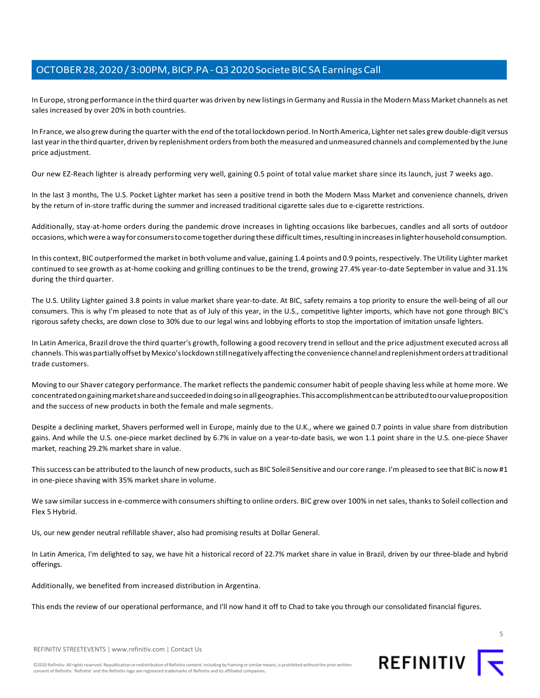In Europe,strong performance in the third quarter was driven by new listingsin Germany and Russia in the Modern Mass Market channels as net sales increased by over 20% in both countries.

In France, we also grew during the quarter with the end ofthe total lockdown period. In North America, Lighter netsales grew double-digit versus last year in the third quarter, driven by replenishment orders from both the measured and unmeasured channels and complemented by the June price adjustment.

Our new EZ-Reach lighter is already performing very well, gaining 0.5 point of total value market share since its launch, just 7 weeks ago.

In the last 3 months, The U.S. Pocket Lighter market has seen a positive trend in both the Modern Mass Market and convenience channels, driven by the return of in-store traffic during the summer and increased traditional cigarette sales due to e-cigarette restrictions.

Additionally, stay-at-home orders during the pandemic drove increases in lighting occasions like barbecues, candles and all sorts of outdoor occasions, which were a way for consumers to come together during these difficult times, resulting in increases in lighter household consumption.

In this context, BIC outperformed the market in both volume and value, gaining 1.4 points and 0.9 points,respectively. The Utility Lighter market continued to see growth as at-home cooking and grilling continues to be the trend, growing 27.4% year-to-date September in value and 31.1% during the third quarter.

The U.S. Utility Lighter gained 3.8 points in value market share year-to-date. At BIC, safety remains a top priority to ensure the well-being of all our consumers. This is why I'm pleased to note that as of July of this year, in the U.S., competitive lighter imports, which have not gone through BIC's rigorous safety checks, are down close to 30% due to our legal wins and lobbying efforts to stop the importation of imitation unsafe lighters.

In Latin America, Brazil drove the third quarter's growth, following a good recovery trend in sellout and the price adjustment executed across all channels. ThiswaspartiallyoffsetbyMexico'slockdownstillnegativelyaffectingthe convenience channel andreplenishmentordersattraditional trade customers.

Moving to our Shaver category performance. The market reflectsthe pandemic consumer habit of people shaving less while at home more. We concentratedongainingmarketshareandsucceededindoingsoinallgeographies.Thisaccomplishmentcanbeattributedtoourvalueproposition and the success of new products in both the female and male segments.

Despite a declining market, Shavers performed well in Europe, mainly due to the U.K., where we gained 0.7 points in value share from distribution gains. And while the U.S. one-piece market declined by 6.7% in value on a year-to-date basis, we won 1.1 point share in the U.S. one-piece Shaver market, reaching 29.2% market share in value.

This success can be attributed to the launch of new products, such as BIC Soleil Sensitive and our core range. I'm pleased to see that BIC is now #1 in one-piece shaving with 35% market share in volume.

We saw similar successin e-commerce with consumersshifting to online orders. BIC grew over 100% in net sales, thanksto Soleil collection and Flex 5 Hybrid.

Us, our new gender neutral refillable shaver, also had promising results at Dollar General.

In Latin America, I'm delighted to say, we have hit a historical record of 22.7% market share in value in Brazil, driven by our three-blade and hybrid offerings.

Additionally, we benefited from increased distribution in Argentina.

This ends the review of our operational performance, and I'll now hand it off to Chad to take you through our consolidated financial figures.

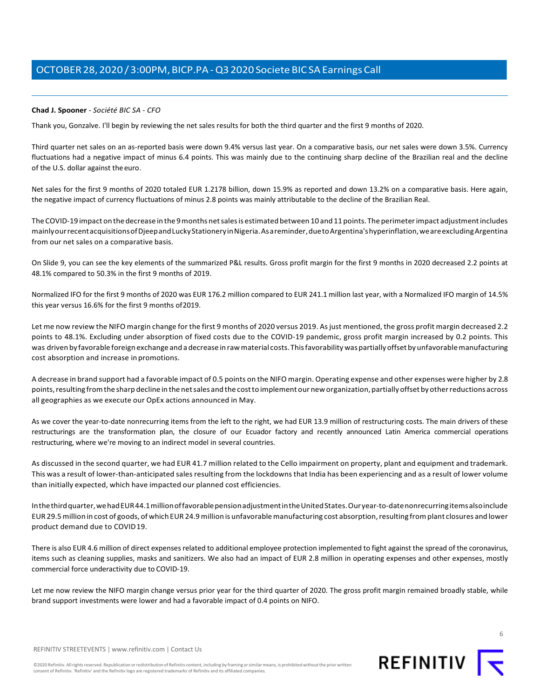## <span id="page-5-0"></span>**Chad J. Spooner** *- Société BIC SA - CFO*

Thank you, Gonzalve. I'll begin by reviewing the net sales results for both the third quarter and the first 9 months of 2020.

Third quarter net sales on an as-reported basis were down 9.4% versus last year. On a comparative basis, our net sales were down 3.5%. Currency fluctuations had a negative impact of minus 6.4 points. This was mainly due to the continuing sharp decline of the Brazilian real and the decline of the U.S. dollar against the euro.

Net sales for the first 9 months of 2020 totaled EUR 1.2178 billion, down 15.9% as reported and down 13.2% on a comparative basis. Here again, the negative impact of currency fluctuations of minus 2.8 points was mainly attributable to the decline of the Brazilian Real.

The COVID-19 impact on the decrease in the 9 months net sales is estimated between 10 and 11 points. The perimeter impact adjustment includes mainlyourrecentacquisitionsofDjeepandLuckyStationeryinNigeria.Asareminder,duetoArgentina'shyperinflation,weareexcludingArgentina from our net sales on a comparative basis.

On Slide 9, you can see the key elements of the summarized P&L results. Gross profit margin for the first 9 months in 2020 decreased 2.2 points at 48.1% compared to 50.3% in the first 9 months of 2019.

Normalized IFO for the first 9 months of 2020 was EUR 176.2 million compared to EUR 241.1 million last year, with a Normalized IFO margin of 14.5% this year versus 16.6% for the first 9 months of2019.

Let me now review the NIFO margin change for the first 9 months of 2020 versus 2019. As just mentioned, the gross profit margin decreased 2.2 points to 48.1%. Excluding under absorption of fixed costs due to the COVID-19 pandemic, gross profit margin increased by 0.2 points. This was driven by favorable foreign exchange and a decrease in raw material costs. This favorability was partially offset by unfavorable manufacturing cost absorption and increase inpromotions.

A decrease in brand support had a favorable impact of 0.5 points on the NIFO margin. Operating expense and other expenses were higher by 2.8 points,resulting fromthe sharp decline in thenetsales and the costto implement our neworganization,partially offset by otherreductions across all geographies as we execute our OpEx actions announced in May.

As we cover the year-to-date nonrecurring items from the left to the right, we had EUR 13.9 million of restructuring costs. The main drivers of these restructurings are the transformation plan, the closure of our Ecuador factory and recently announced Latin America commercial operations restructuring, where we're moving to an indirect model in several countries.

As discussed in the second quarter, we had EUR 41.7 million related to the Cello impairment on property, plant and equipment and trademark. This was a result of lower-than-anticipated sales resulting from the lockdowns that India has been experiencing and as a result of lower volume than initially expected, which have impacted our planned cost efficiencies.

Inthethirdquarter,wehadEUR44.1millionoffavorablepensionadjustmentintheUnitedStates.Ouryear-to-datenonrecurringitemsalsoinclude EUR 29.5million in cost of goods, of which EUR 24.9million is unfavorablemanufacturing cost absorption,resulting fromplant closures and lower product demand due to COVID19.

There is also EUR 4.6 million of direct expenses related to additional employee protection implemented to fight against the spread of the coronavirus, items such as cleaning supplies, masks and sanitizers. We also had an impact of EUR 2.8 million in operating expenses and other expenses, mostly commercial force underactivity due to COVID-19.

Let me now review the NIFO margin change versus prior year for the third quarter of 2020. The gross profit margin remained broadly stable, while brand support investments were lower and had a favorable impact of 0.4 points on NIFO.

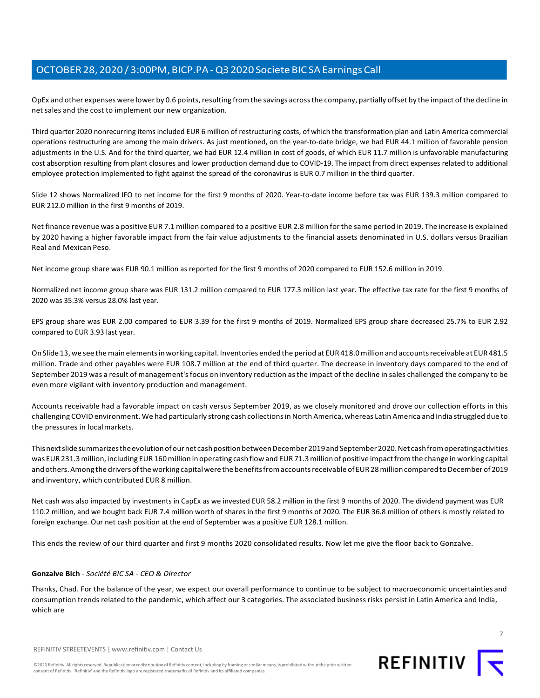OpEx and other expenses were lower by 0.6 points, resulting from the savings across the company, partially offset by the impact of the decline in net sales and the cost to implement our new organization.

Third quarter 2020 nonrecurring items included EUR 6 million of restructuring costs, of which the transformation plan and Latin America commercial operations restructuring are among the main drivers. As just mentioned, on the year-to-date bridge, we had EUR 44.1 million of favorable pension adjustments in the U.S. And for the third quarter, we had EUR 12.4 million in cost of goods, of which EUR 11.7 million is unfavorable manufacturing cost absorption resulting from plant closures and lower production demand due to COVID-19. The impact from direct expenses related to additional employee protection implemented to fight against the spread of the coronavirus is EUR 0.7 million in the third quarter.

Slide 12 shows Normalized IFO to net income for the first 9 months of 2020. Year-to-date income before tax was EUR 139.3 million compared to EUR 212.0 million in the first 9 months of 2019.

Net finance revenue was a positive EUR 7.1 million compared to a positive EUR 2.8 million forthe same period in 2019. The increase is explained by 2020 having a higher favorable impact from the fair value adjustments to the financial assets denominated in U.S. dollars versus Brazilian Real and Mexican Peso.

Net income group share was EUR 90.1 million as reported for the first 9 months of 2020 compared to EUR 152.6 million in 2019.

Normalized net income group share was EUR 131.2 million compared to EUR 177.3 million last year. The effective tax rate for the first 9 months of 2020 was 35.3% versus 28.0% last year.

EPS group share was EUR 2.00 compared to EUR 3.39 for the first 9 months of 2019. Normalized EPS group share decreased 25.7% to EUR 2.92 compared to EUR 3.93 last year.

On Slide 13, we see the main elements in working capital. Inventories ended the period at EUR 418.0 million and accounts receivable at EUR 481.5 million. Trade and other payables were EUR 108.7 million at the end of third quarter. The decrease in inventory days compared to the end of September 2019 was a result of management'sfocus on inventory reduction asthe impact of the decline in sales challenged the company to be even more vigilant with inventory production and management.

Accounts receivable had a favorable impact on cash versus September 2019, as we closely monitored and drove our collection efforts in this challenging COVID environment. We had particularly strong cash collectionsin North America, whereas Latin America and India struggled due to the pressures in localmarkets.

This next slide summarizes the evolution of our net cash position between December 2019 and September 2020. Net cash from operating activities was EUR 231.3 million, including EUR 160 million in operating cash flow and EUR 71.3 million of positive impact from the change in working capital and others. Among the drivers of the working capital were the benefits from accounts receivable of EUR28 million compared to December of 2019 and inventory, which contributed EUR 8 million.

Net cash was also impacted by investments in CapEx as we invested EUR 58.2 million in the first 9 months of 2020. The dividend payment was EUR 110.2 million, and we bought back EUR 7.4 million worth of shares in the first 9 months of 2020. The EUR 36.8 million of others is mostly related to foreign exchange. Our net cash position at the end of September was a positive EUR 128.1 million.

This ends the review of our third quarter and first 9 months 2020 consolidated results. Now let me give the floor back to Gonzalve.

#### **Gonzalve Bich** *- Société BIC SA - CEO & Director*

Thanks, Chad. For the balance of the year, we expect our overall performance to continue to be subject to macroeconomic uncertainties and consumption trends related to the pandemic, which affect our 3 categories. The associated businessrisks persist in Latin America and India, which are

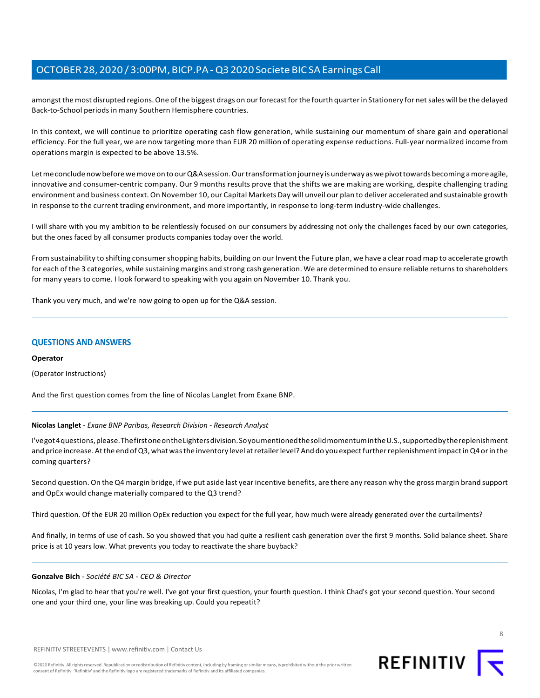amongst the most disrupted regions. One of the biggest drags on our forecast for the fourth quarter in Stationery for net sales will be the delayed Back-to-School periods in many Southern Hemisphere countries.

In this context, we will continue to prioritize operating cash flow generation, while sustaining our momentum of share gain and operational efficiency. For the full year, we are now targeting more than EUR 20 million of operating expense reductions. Full-year normalized income from operations margin is expected to be above 13.5%.

Let me conclude now before we move on to our Q&A session. Our transformation journey is underway as we pivot towards becoming a more agile, innovative and consumer-centric company. Our 9 months results prove that the shifts we are making are working, despite challenging trading environment and business context.On November 10, our Capital Markets Day will unveil our plan to deliver accelerated and sustainable growth in response to the current trading environment, and more importantly, in response to long-term industry-wide challenges.

I will share with you my ambition to be relentlessly focused on our consumers by addressing not only the challenges faced by our own categories, but the ones faced by all consumer products companies today over the world.

From sustainability to shifting consumershopping habits, building on our Invent the Future plan, we have a clear road map to accelerate growth for each of the 3 categories, while sustaining margins and strong cash generation. We are determined to ensure reliable returnsto shareholders for many yearsto come. I look forward to speaking with you again on November 10. Thank you.

Thank you very much, and we're now going to open up for the Q&A session.

## **QUESTIONS AND ANSWERS**

#### **Operator**

(Operator Instructions)

<span id="page-7-0"></span>And the first question comes from the line of Nicolas Langlet from Exane BNP.

## **Nicolas Langlet** *- Exane BNP Paribas, Research Division - Research Analyst*

I'vegot4questions,please.ThefirstoneontheLightersdivision.SoyoumentionedthesolidmomentumintheU.S.,supportedbythereplenishment and price increase. At the end of Q3, what was the inventory level at retailer level? And do you expect further replenishment impact in Q4 or in the coming quarters?

Second question. On the Q4 margin bridge, if we put aside last year incentive benefits, are there any reason why the gross margin brand support and OpEx would change materially compared to the Q3 trend?

Third question. Of the EUR 20 million OpEx reduction you expect for the full year, how much were already generated over the curtailments?

And finally, in terms of use of cash. So you showed that you had quite a resilient cash generation over the first 9 months. Solid balance sheet. Share price is at 10 years low. What prevents you today to reactivate the share buyback?

#### **Gonzalve Bich** *- Société BIC SA - CEO & Director*

Nicolas, I'm glad to hear that you're well. I've got your first question, your fourth question. I think Chad's got your second question. Your second one and your third one, your line was breaking up. Could you repeatit?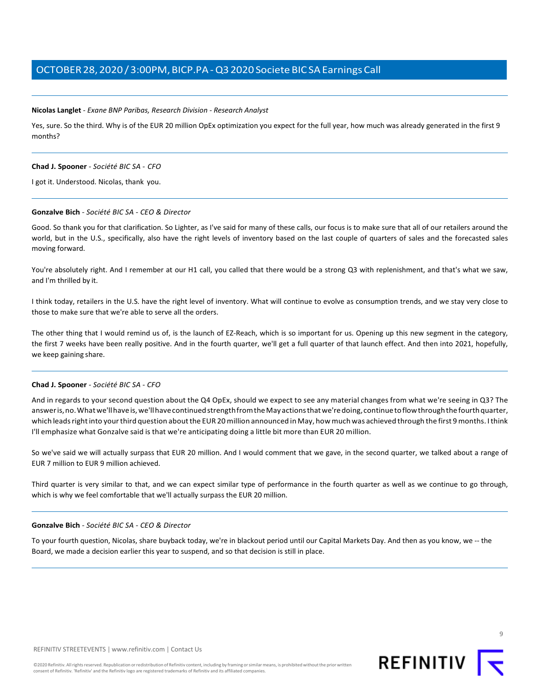#### **Nicolas Langlet** *- Exane BNP Paribas, Research Division - Research Analyst*

Yes, sure. So the third. Why is of the EUR 20 million OpEx optimization you expect for the full year, how much was already generated in the first 9 months?

#### **Chad J. Spooner** *- Société BIC SA - CFO*

I got it. Understood. Nicolas, thank you.

#### **Gonzalve Bich** *- Société BIC SA - CEO & Director*

Good. So thank you for that clarification. So Lighter, as I've said for many of these calls, our focus is to make sure that all of our retailers around the world, but in the U.S., specifically, also have the right levels of inventory based on the last couple of quarters of sales and the forecasted sales moving forward.

You're absolutely right. And I remember at our H1 call, you called that there would be a strong Q3 with replenishment, and that's what we saw, and I'm thrilled by it.

I think today, retailers in the U.S. have the right level of inventory. What will continue to evolve as consumption trends, and we stay very close to those to make sure that we're able to serve all the orders.

The other thing that I would remind us of, is the launch of EZ-Reach, which is so important for us. Opening up this new segment in the category, the first 7 weeks have been really positive. And in the fourth quarter, we'll get a full quarter of that launch effect. And then into 2021, hopefully, we keep gaining share.

#### **Chad J. Spooner** *- Société BIC SA - CFO*

And in regards to your second question about the Q4 OpEx, should we expect to see any material changes from what we're seeing in Q3? The answer is, no. What we'll have is, we'll have continued strength from the May actions that we're doing, continue to flow through the fourth quarter, which leads right into your third question about the EUR 20 million announced in May, how much was achieved through the first 9 months. I think I'll emphasize what Gonzalve said is that we're anticipating doing a little bit more than EUR 20 million.

So we've said we will actually surpass that EUR 20 million. And I would comment that we gave, in the second quarter, we talked about a range of EUR 7 million to EUR 9 million achieved.

Third quarter is very similar to that, and we can expect similar type of performance in the fourth quarter as well as we continue to go through, which is why we feel comfortable that we'll actually surpass the EUR 20 million.

#### **Gonzalve Bich** *- Société BIC SA - CEO & Director*

To your fourth question, Nicolas, share buyback today, we're in blackout period until our Capital Markets Day. And then as you know, we -- the Board, we made a decision earlier this year to suspend, and so that decision is still in place.

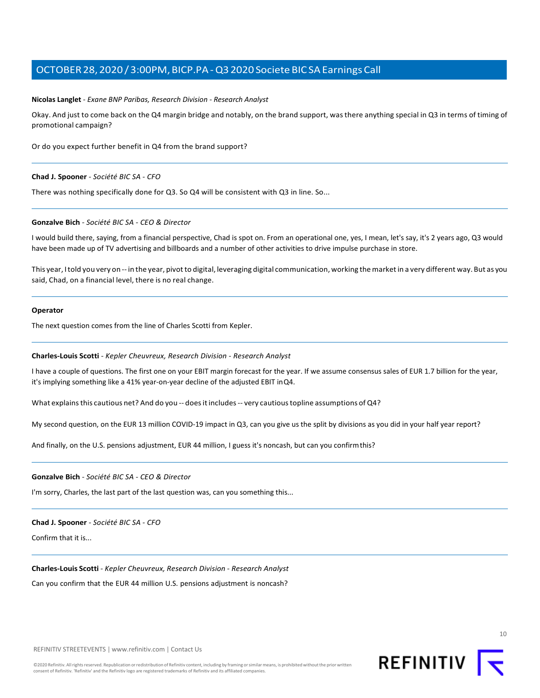#### **Nicolas Langlet** *- Exane BNP Paribas, Research Division - Research Analyst*

Okay. And just to come back on the Q4 margin bridge and notably, on the brand support, wasthere anything special in Q3 in terms of timing of promotional campaign?

Or do you expect further benefit in Q4 from the brand support?

#### **Chad J. Spooner** *- Société BIC SA - CFO*

There was nothing specifically done for Q3. So Q4 will be consistent with Q3 in line. So...

#### **Gonzalve Bich** *- Société BIC SA - CEO & Director*

I would build there, saying, from a financial perspective, Chad is spot on. From an operational one, yes, I mean, let's say, it's 2 years ago, Q3 would have been made up of TV advertising and billboards and a number of other activities to drive impulse purchase in store.

This year, Itold you very on -- in the year, pivotto digital, leveraging digital communication, working themarketin a very different way. But as you said, Chad, on a financial level, there is no real change.

#### **Operator**

<span id="page-9-0"></span>The next question comes from the line of Charles Scotti from Kepler.

#### **Charles-Louis Scotti** *- Kepler Cheuvreux, Research Division - Research Analyst*

I have a couple of questions. The first one on your EBIT margin forecast for the year. If we assume consensus sales of EUR 1.7 billion for the year, it's implying something like a 41% year-on-year decline of the adjusted EBIT inQ4.

What explains this cautious net? And do you -- does it includes -- very cautious topline assumptions of Q4?

My second question, on the EUR 13 million COVID-19 impact in Q3, can you give us the split by divisions as you did in your half year report?

And finally, on the U.S. pensions adjustment, EUR 44 million, I guess it's noncash, but can you confirmthis?

#### **Gonzalve Bich** *- Société BIC SA - CEO & Director*

I'm sorry, Charles, the last part of the last question was, can you something this...

#### **Chad J. Spooner** *- Société BIC SA - CFO*

Confirm that it is...

#### **Charles-Louis Scotti** *- Kepler Cheuvreux, Research Division - Research Analyst*

Can you confirm that the EUR 44 million U.S. pensions adjustment is noncash?

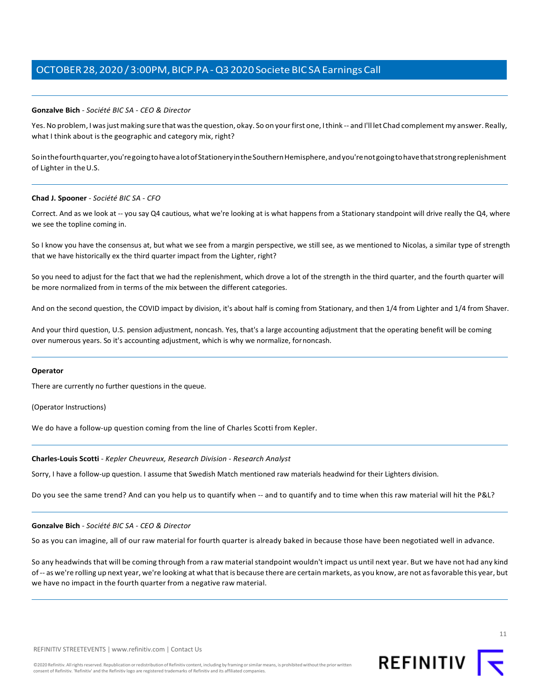#### **Gonzalve Bich** *- Société BIC SA - CEO & Director*

Yes. No problem, I was just making sure that was the question, okay. So on your first one, I think -- and I'll let Chad complement my answer. Really, what I think about is the geographic and category mix, right?

Sointhefourthquarter,you'regoingtohavealotofStationeryintheSouthernHemisphere,andyou'renotgoingtohavethatstrongreplenishment of Lighter in the U.S.

#### **Chad J. Spooner** *- Société BIC SA - CFO*

Correct. And as we look at -- you say Q4 cautious, what we're looking at is what happens from a Stationary standpoint will drive really the Q4, where we see the topline coming in.

So I know you have the consensus at, but what we see from a margin perspective, we still see, as we mentioned to Nicolas, a similar type of strength that we have historically ex the third quarter impact from the Lighter, right?

So you need to adjust for the fact that we had the replenishment, which drove a lot of the strength in the third quarter, and the fourth quarter will be more normalized from in terms of the mix between the different categories.

And on the second question, the COVID impact by division, it's about half is coming from Stationary, and then 1/4 from Lighter and 1/4 from Shaver.

And your third question, U.S. pension adjustment, noncash. Yes, that's a large accounting adjustment that the operating benefit will be coming over numerous years. So it's accounting adjustment, which is why we normalize, fornoncash.

#### **Operator**

There are currently no further questions in the queue.

(Operator Instructions)

We do have a follow-up question coming from the line of Charles Scotti from Kepler.

#### **Charles-Louis Scotti** *- Kepler Cheuvreux, Research Division - Research Analyst*

Sorry, I have a follow-up question. I assume that Swedish Match mentioned raw materials headwind for their Lighters division.

Do you see the same trend? And can you help us to quantify when -- and to quantify and to time when this raw material will hit the P&L?

#### **Gonzalve Bich** *- Société BIC SA - CEO & Director*

So as you can imagine, all of our raw material for fourth quarter is already baked in because those have been negotiated well in advance.

So any headwinds that will be coming through from a raw material standpoint wouldn't impact us until next year. But we have not had any kind of -- as we're rolling up next year, we're looking at whatthat is because there are certain markets, as you know, are not asfavorable this year, but we have no impact in the fourth quarter from a negative raw material.